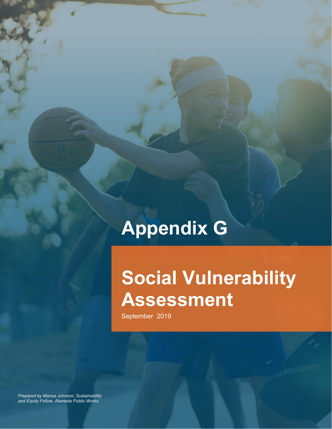# **Appendix G**

# **Social Vulnerability Assessment**

September 2019

*Prepared by Marisa Johnson, Sustainability and Equity Fellow, Alameda Public Works*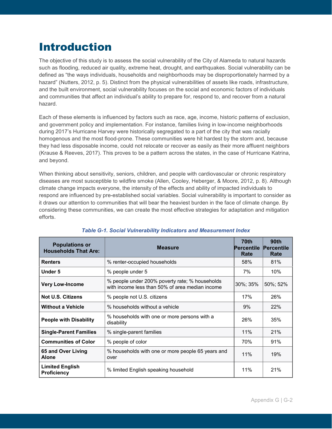# Introduction

The objective of this study is to assess the social vulnerability of the City of Alameda to natural hazards such as flooding, reduced air quality, extreme heat, drought, and earthquakes. Social vulnerability can be defined as "the ways individuals, households and neighborhoods may be disproportionately harmed by a hazard" (Nutters, 2012, p. 5). Distinct from the physical vulnerabilities of assets like roads, infrastructure, and the built environment, social vulnerability focuses on the social and economic factors of individuals and communities that affect an individual's ability to prepare for, respond to, and recover from a natural hazard.

Each of these elements is influenced by factors such as race, age, income, historic patterns of exclusion, and government policy and implementation. For instance, families living in low-income neighborhoods during 2017's Hurricane Harvey were historically segregated to a part of the city that was racially homogenous and the most flood-prone. These communities were hit hardest by the storm and, because they had less disposable income, could not relocate or recover as easily as their more affluent neighbors (Krause & Reeves, 2017). This proves to be a pattern across the states, in the case of Hurricane Katrina, and beyond.

When thinking about sensitivity, seniors, children, and people with cardiovascular or chronic respiratory diseases are most susceptible to wildfire smoke (Allen, Cooley, Heberger, & Moore, 2012, p. 8). Although climate change impacts everyone, the intensity of the effects and ability of impacted individuals to respond are influenced by pre-established social variables. Social vulnerability is important to consider as it draws our attention to communities that will bear the heaviest burden in the face of climate change. By considering these communities, we can create the most effective strategies for adaptation and mitigation efforts.

| <b>Populations or</b><br><b>Households That Are:</b>                                            | <b>Measure</b>                                                                                    | 70th<br><b>Percentile</b><br>Rate | 90th<br>Percentile<br>Rate |
|-------------------------------------------------------------------------------------------------|---------------------------------------------------------------------------------------------------|-----------------------------------|----------------------------|
| <b>Renters</b>                                                                                  | % renter-occupied households                                                                      | 58%                               | 81%                        |
| Under 5                                                                                         | % people under 5                                                                                  | 7%                                | $10\%$                     |
| <b>Very Low-Income</b>                                                                          | % people under 200% poverty rate; % households<br>with income less than 50% of area median income | 30%; 35%                          | 50%; 52%                   |
| <b>Not U.S. Citizens</b>                                                                        | % people not U.S. citizens                                                                        | 17%                               | 26%                        |
| <b>Without a Vehicle</b>                                                                        | % households without a vehicle                                                                    | 9%                                | 22%                        |
| % households with one or more persons with a<br><b>People with Disability</b><br>disability     |                                                                                                   | 26%                               | 35%                        |
| <b>Single-Parent Families</b>                                                                   | % single-parent families                                                                          | 11%                               | 21%                        |
| <b>Communities of Color</b>                                                                     | % people of color                                                                                 | 70%                               | 91%                        |
| 65 and Over Living<br>% households with one or more people 65 years and<br><b>Alone</b><br>over |                                                                                                   | 11%                               | 19%                        |
| <b>Limited English</b><br><b>Proficiency</b>                                                    | % limited English speaking household                                                              | 11%                               | 21%                        |

### *Table G-1. Social Vulnerability Indicators and Measurement Index*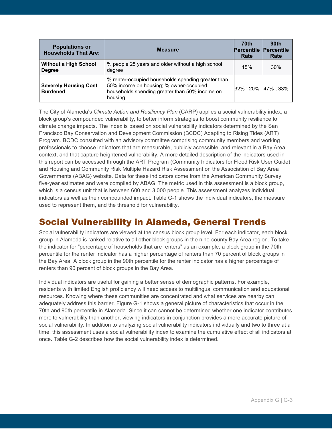| <b>Populations or</b><br><b>Households That Are:</b> | <b>Measure</b>                                                                                                                                             | 70th<br><b>Percentile</b><br>Rate | 90th<br>Percentile<br>Rate |
|------------------------------------------------------|------------------------------------------------------------------------------------------------------------------------------------------------------------|-----------------------------------|----------------------------|
| <b>Without a High School</b><br><b>Degree</b>        | % people 25 years and older without a high school<br>degree                                                                                                | 15%                               | 30%                        |
| <b>Severely Housing Cost</b><br><b>Burdened</b>      | % renter-occupied households spending greater than<br>50% income on housing; % owner-occupied<br>households spending greater than 50% income on<br>housing | 32% : 20%                         | 47%; 33%                   |

The City of Alameda's *Climate Action and Resiliency Plan* (CARP) applies a social vulnerability index, a block group's compounded vulnerability, to better inform strategies to boost community resilience to climate change impacts. The index is based on social vulnerability indicators determined by the San Francisco Bay Conservation and Development Commission (BCDC) Adapting to Rising Tides (ART) Program. BCDC consulted with an advisory committee comprising community members and working professionals to choose indicators that are measurable, publicly accessible, and relevant in a Bay Area context, and that capture heightened vulnerability. A more detailed description of the indicators used in this report can be accessed through the ART Program [\(Community Indicators for Flood Risk User](http://www.adaptingtorisingtides.org/maps-and-data-products/) Guide) and Housing and Community Risk Multiple Hazard Risk Assessment on the Association of Bay Area Governments (ABAG) website. Data for these indicators come from the American Community Survey five-year estimates and were compiled by ABAG. The metric used in this assessment is a block group, which is a census unit that is between 600 and 3,000 people. This assessment analyzes individual indicators as well as their compounded impact. Table G-1 shows the individual indicators, the measure used to represent them, and the threshold for vulnerability.

## Social Vulnerability in Alameda, General Trends

Social vulnerability indicators are viewed at the census block group level. For each indicator, each block group in Alameda is ranked relative to all other block groups in the nine-county Bay Area region. To take the indicator for "percentage of households that are renters" as an example, a block group in the 70th percentile for the renter indicator has a higher percentage of renters than 70 percent of block groups in the Bay Area. A block group in the 90th percentile for the renter indicator has a higher percentage of renters than 90 percent of block groups in the Bay Area.

Individual indicators are useful for gaining a better sense of demographic patterns. For example, residents with limited English proficiency will need access to multilingual communication and educational resources. Knowing where these communities are concentrated and what services are nearby can adequately address this barrier. Figure G-1 shows a general picture of characteristics that occur in the 70th and 90th percentile in Alameda. Since it can cannot be determined whether one indicator contributes more to vulnerability than another, viewing indicators in conjunction provides a more accurate picture of social vulnerability. In addition to analyzing social vulnerability indicators individually and two to three at a time, this assessment uses a social vulnerability index to examine the cumulative effect of all indicators at once. Table G-2 describes how the social vulnerability index is determined.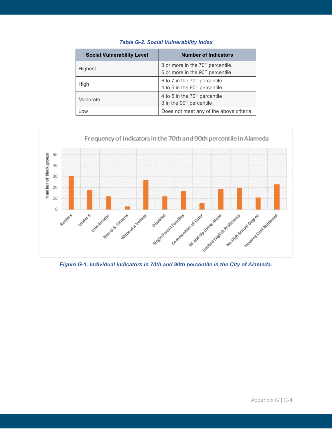| <b>Social Vulnerability Level</b> | <b>Number of Indicators</b>                                                                  |
|-----------------------------------|----------------------------------------------------------------------------------------------|
| Highest                           | 8 or more in the 70 <sup>th</sup> percentile<br>6 or more in the 90 <sup>th</sup> percentile |
| High                              | 6 to 7 in the 70 <sup>th</sup> percentile<br>4 to 5 in the 90 <sup>th</sup> percentile       |
| Moderate                          | 4 to 5 in the 70 <sup>th</sup> percentile<br>3 in the 90 <sup>th</sup> percentile            |
| Low                               | Does not meet any of the above criteria                                                      |

## *Table G-2. Social Vulnerability Index*



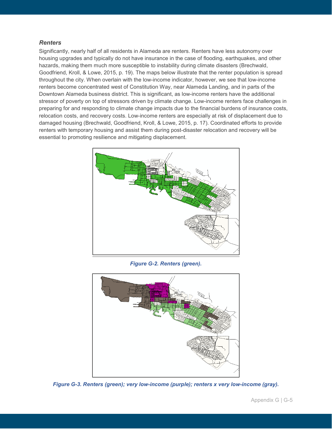### *Renters*

Significantly, nearly half of all residents in Alameda are renters. Renters have less autonomy over housing upgrades and typically do not have insurance in the case of flooding, earthquakes, and other hazards, making them much more susceptible to instability during climate disasters (Brechwald, Goodfriend, Kroll, & Lowe, 2015, p. 19). The maps below illustrate that the renter population is spread throughout the city. When overlain with the low-income indicator, however, we see that low-income renters become concentrated west of Constitution Way, near Alameda Landing, and in parts of the Downtown Alameda business district. This is significant, as low-income renters have the additional stressor of poverty on top of stressors driven by climate change. Low-income renters face challenges in preparing for and responding to climate change impacts due to the financial burdens of insurance costs, relocation costs, and recovery costs. Low-income renters are especially at risk of displacement due to damaged housing (Brechwald, Goodfriend, Kroll, & Lowe, 2015, p. 17). Coordinated efforts to provide renters with temporary housing and assist them during post-disaster relocation and recovery will be essential to promoting resilience and mitigating displacement.



*Figure G-2. Renters (green).* 



*Figure G-3. Renters (green); very low-income (purple); renters x very low-income (gray).*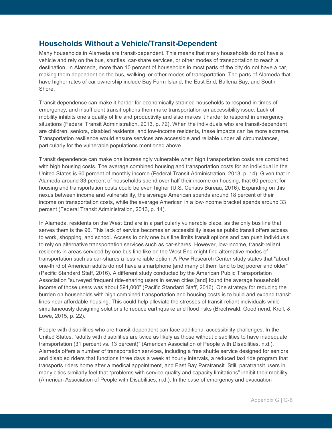## **Households Without a Vehicle/Transit-Dependent**

Many households in Alameda are transit-dependent. This means that many households do not have a vehicle and rely on the bus, shuttles, car-share services, or other modes of transportation to reach a destination. In Alameda, more than 10 percent of households in most parts of the city do not have a car, making them dependent on the bus, walking, or other modes of transportation. The parts of Alameda that have higher rates of car ownership include Bay Farm Island, the East End, Ballena Bay, and South Shore.

Transit dependence can make it harder for economically strained households to respond in times of emergency, and insufficient transit options then make transportation an accessibility issue. Lack of mobility inhibits one's quality of life and productivity and also makes it harder to respond in emergency situations (Federal Transit Administration, 2013, p. 72). When the individuals who are transit-dependent are children, seniors, disabled residents, and low-income residents, these impacts can be more extreme. Transportation resilience would ensure services are accessible and reliable under all circumstances, particularly for the vulnerable populations mentioned above.

Transit dependence can make one increasingly vulnerable when high transportation costs are combined with high housing costs. The average combined housing and transportation costs for an individual in the United States is 60 percent of monthly income (Federal Transit Administration, 2013, p. 14). Given that in Alameda around 33 percent of households spend over half their income on housing, that 60 percent for housing and transportation costs could be even higher (U.S. Census Bureau, 2016). Expanding on this nexus between income and vulnerability, the average American spends around 18 percent of their income on transportation costs, while the average American in a low-income bracket spends around 33 percent (Federal Transit Administration, 2013, p. 14).

In Alameda, residents on the West End are in a particularly vulnerable place, as the only bus line that serves them is the 96. This lack of service becomes an accessibility issue as public transit offers access to work, shopping, and school. Access to only one bus line limits transit options and can push individuals to rely on alternative transportation services such as car-shares. However, low-income, transit-reliant residents in areas serviced by one bus line like on the West End might find alternative modes of transportation such as car-shares a less reliable option. A Pew Research Center study states that "about one-third of American adults do not have a smartphone [and many of them tend to be] poorer and older" (Pacific Standard Staff, 2016). A different study conducted by the American Public Transportation Association "surveyed frequent ride-sharing users in seven cities [and] found the average household income of those users was about \$91,000" (Pacific Standard Staff, 2016). One strategy for reducing the burden on households with high combined transportation and housing costs is to build and expand transit lines near affordable housing. This could help alleviate the stresses of transit-reliant individuals while simultaneously designing solutions to reduce earthquake and flood risks (Brechwald, Goodfriend, Kroll, & Lowe, 2015, p. 22).

People with disabilities who are transit-dependent can face additional accessibility challenges. In the United States, "adults with disabilities are twice as likely as those without disabilities to have inadequate transportation (31 percent vs. 13 percent)" (American Association of People with Disabilities, n.d.). Alameda offers a number of transportation services, including a free shuttle service designed for seniors and disabled riders that functions three days a week at hourly intervals, a reduced taxi ride program that transports riders home after a medical appointment, and East Bay Paratransit. Still, paratransit users in many cities similarly feel that "problems with service quality and capacity limitations" inhibit their mobility (American Association of People with Disabilities, n.d.). In the case of emergency and evacuation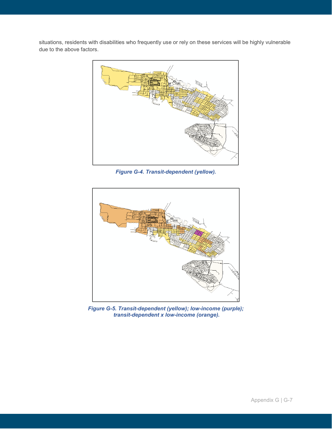situations, residents with disabilities who frequently use or rely on these services will be highly vulnerable due to the above factors.



*Figure G-4. Transit-dependent (yellow).*



*Figure G-5. Transit-dependent (yellow); low-income (purple); transit-dependent x low-income (orange).*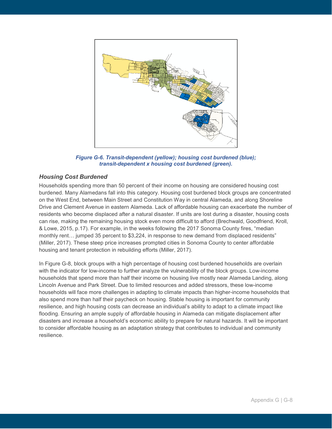

*Figure G-6. Transit-dependent (yellow); housing cost burdened (blue); transit-dependent x housing cost burdened (green).*

### *Housing Cost Burdened*

Households spending more than 50 percent of their income on housing are considered housing cost burdened. Many Alamedans fall into this category. Housing cost burdened block groups are concentrated on the West End, between Main Street and Constitution Way in central Alameda, and along Shoreline Drive and Clement Avenue in eastern Alameda. Lack of affordable housing can exacerbate the number of residents who become displaced after a natural disaster. If units are lost during a disaster, housing costs can rise, making the remaining housing stock even more difficult to afford (Brechwald, Goodfriend, Kroll, & Lowe, 2015, p.17). For example, in the weeks following the 2017 Sonoma County fires, "median monthly rent... [jumped 35 percent](https://www.zillow.com/research/california-wildfires-rents-17054/) to \$3,224, in response to new demand from displaced residents" (Miller, 2017). These steep price increases prompted cities in Sonoma County to center affordable housing and tenant protection in rebuilding efforts (Miller, 2017).

In Figure G-8, block groups with a high percentage of housing cost burdened households are overlain with the indicator for low-income to further analyze the vulnerability of the block groups. Low-income households that spend more than half their income on housing live mostly near Alameda Landing, along Lincoln Avenue and Park Street. Due to limited resources and added stressors, these low-income households will face more challenges in adapting to climate impacts than higher-income households that also spend more than half their paycheck on housing. Stable housing is important for community resilience, and high housing costs can decrease an individual's ability to adapt to a climate impact like flooding. Ensuring an ample supply of affordable housing in Alameda can mitigate displacement after disasters and increase a household's economic ability to prepare for natural hazards. It will be important to consider affordable housing as an adaptation strategy that contributes to individual and community resilience.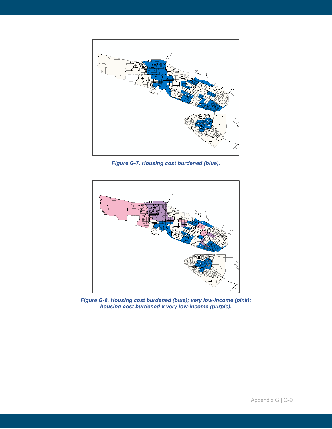

*Figure G-7. Housing cost burdened (blue).*



*Figure G-8. Housing cost burdened (blue); very low-income (pink); housing cost burdened x very low-income (purple).*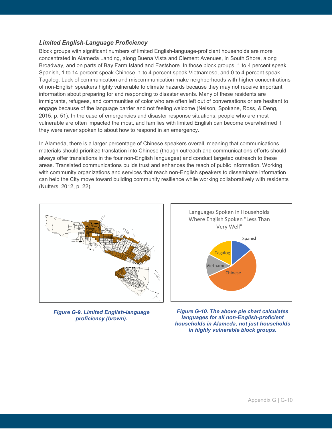## *Limited English-Language Proficiency*

Block groups with significant numbers of limited English-language-proficient households are more concentrated in Alameda Landing, along Buena Vista and Clement Avenues, in South Shore, along Broadway, and on parts of Bay Farm Island and Eastshore. In those block groups, 1 to 4 percent speak Spanish, 1 to 14 percent speak Chinese, 1 to 4 percent speak Vietnamese, and 0 to 4 percent speak Tagalog. Lack of communication and miscommunication make neighborhoods with higher concentrations of non-English speakers highly vulnerable to climate hazards because they may not receive important information about preparing for and responding to disaster events. Many of these residents are immigrants, refugees, and communities of color who are often left out of conversations or are hesitant to engage because of the language barrier and not feeling welcome (Nelson, Spokane, Ross, & Deng, 2015, p. 51). In the case of emergencies and disaster response situations, people who are most vulnerable are often impacted the most, and families with limited English can become overwhelmed if they were never spoken to about how to respond in an emergency.

In Alameda, there is a larger percentage of Chinese speakers overall, meaning that communications materials should prioritize translation into Chinese (though outreach and communications efforts should always offer translations in the four non-English languages) and conduct targeted outreach to these areas. Translated communications builds trust and enhances the reach of public information. Working with community organizations and services that reach non-English speakers to disseminate information can help the City move toward building community resilience while working collaboratively with residents (Nutters, 2012, p. 22).



*Figure G-9. Limited English-language proficiency (brown).*



*Figure G-10. The above pie chart calculates languages for all non-English-proficient households in Alameda, not just households in highly vulnerable block groups.*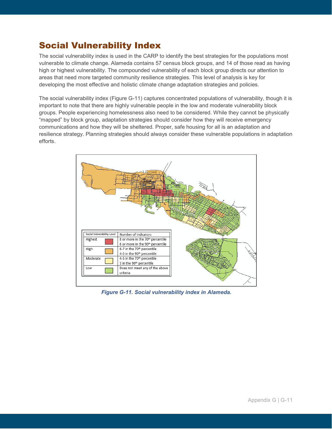## Social Vulnerability Index

The social vulnerability index is used in the CARP to identify the best strategies for the populations most vulnerable to climate change. Alameda contains 57 census block groups, and 14 of those read as having high or highest vulnerability. The compounded vulnerability of each block group directs our attention to areas that need more targeted community resilience strategies. This level of analysis is key for developing the most effective and holistic climate change adaptation strategies and policies.

The social vulnerability index (Figure G-11) captures concentrated populations of vulnerability, though it is important to note that there are highly vulnerable people in the low and moderate vulnerability block groups. People experiencing homelessness also need to be considered. While they cannot be physically "mapped" by block group, adaptation strategies should consider how they will receive emergency communications and how they will be sheltered. Proper, safe housing for all is an adaptation and resilience strategy. Planning strategies should always consider these vulnerable populations in adaptation efforts.



*Figure G-11. Social vulnerability index in Alameda.*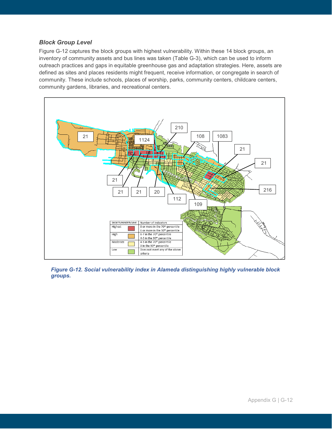## *Block Group Level*

Figure G-12 captures the block groups with highest vulnerability. Within these 14 block groups, an inventory of community assets and bus lines was taken (Table G-3), which can be used to inform outreach practices and gaps in equitable greenhouse gas and adaptation strategies. Here, assets are defined as sites and places residents might frequent, receive information, or congregate in search of community. These include schools, places of worship, parks, community centers, childcare centers, community gardens, libraries, and recreational centers.



*Figure G-12. Social vulnerability index in Alameda distinguishing highly vulnerable block groups.*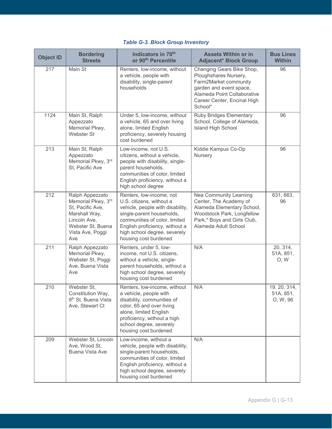## *Table G-3. Block Group Inventory*

| <b>Object ID</b> | <b>Bordering</b><br><b>Streets</b>                                                                                                         | Indicators in 70th<br>or 90 <sup>th</sup> Percentile                                                                                                                                                                                              | <b>Assets Within or in</b><br><b>Adjacent* Block Group</b>                                                                                                                      | <b>Bus Lines</b><br><b>Within</b>     |
|------------------|--------------------------------------------------------------------------------------------------------------------------------------------|---------------------------------------------------------------------------------------------------------------------------------------------------------------------------------------------------------------------------------------------------|---------------------------------------------------------------------------------------------------------------------------------------------------------------------------------|---------------------------------------|
| 217              | Main St                                                                                                                                    | Renters, low-income, without<br>a vehicle, people with<br>disability, single-parent<br>households                                                                                                                                                 | Changing Gears Bike Shop,<br>Ploughshares Nursery,<br>Farm2Market community<br>garden and event space,<br>Alameda Point Collaborative<br>Career Center, Encinal High<br>School* | 96                                    |
| 1124             | Main St, Ralph<br>Appezzato<br>Memorial Pkwy,<br>Webster St                                                                                | Under 5, low-income, without<br>a vehicle, 65 and over living<br>alone, limited English<br>proficiency, severely housing<br>cost burdened                                                                                                         | <b>Ruby Bridges Elementary</b><br>School, College of Alameda,<br>Island High School                                                                                             | 96                                    |
| 213              | Main St, Ralph<br>Appezzato<br>Memorial Pkwy, 3rd<br>St, Pacific Ave                                                                       | Low-income, not U.S.<br>citizens, without a vehicle,<br>people with disability, single-<br>parent households,<br>communities of color, limited<br>English proficiency, without a<br>high school degree                                            | Kiddie Kampus Co-Op<br>Nursery                                                                                                                                                  | 96                                    |
| 212              | Ralph Appezzato<br>Memorial Pkwy, 3rd<br>St, Pacific Ave,<br>Marshall Way,<br>Lincoln Ave,<br>Webster St, Buena<br>Vista Ave, Poggi<br>Ave | Renters, low-income, not<br>U.S. citizens, without a<br>vehicle, people with disability,<br>single-parent households,<br>communities of color, limited<br>English proficiency, without a<br>high school degree, severely<br>housing cost burdened | Nea Community Learning<br>Center, The Academy of<br>Alameda Elementary School,<br>Woodstock Park, Longfellow<br>Park,* Boys and Girls Club,<br>Alameda Adult School             | 631, 663,<br>96                       |
| 211              | Ralph Appezzato<br>Memorial Pkwy,<br>Webster St, Poggi<br>Ave, Buena Vista<br>Ave                                                          | Renters, under 5, low-<br>income, not U.S. citizens,<br>without a vehicle, single-<br>parent households, without a<br>high school degree, severely<br>housing cost burdened                                                                       | N/A                                                                                                                                                                             | 20, 314,<br>51A, 851,<br>O, W         |
| 210              | Webster St,<br>Constitution Way,<br>9 <sup>th</sup> St, Buena Vista<br>Ave, Stewart Ct                                                     | Renters, low-income, without<br>a vehicle, people with<br>disability, communities of<br>color, 65 and over living<br>alone, limited English<br>proficiency, without a high<br>school degree, severely<br>housing cost burdened                    | N/A                                                                                                                                                                             | 19, 20, 314,<br>51A, 851,<br>O, W, 96 |
| 209              | Webster St, Lincoln<br>Ave, Wood St,<br>Buena Vista Ave                                                                                    | Low-income, without a<br>vehicle, people with disability,<br>single-parent households,<br>communities of color, limited<br>English proficiency, without a<br>high school degree, severely<br>housing cost burdened                                | N/A                                                                                                                                                                             |                                       |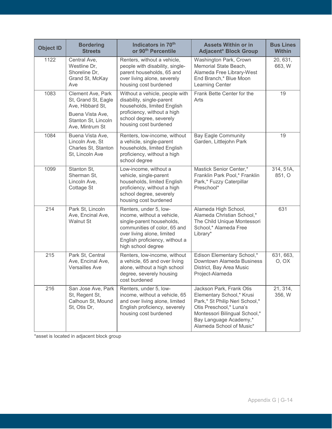| <b>Object ID</b> | <b>Bordering</b><br><b>Streets</b>                                                                                         | Indicators in 70th<br>or 90 <sup>th</sup> Percentile                                                                                                                                                    | <b>Assets Within or in</b><br><b>Adjacent* Block Group</b>                                                                                                                                                | <b>Bus Lines</b><br><b>Within</b> |
|------------------|----------------------------------------------------------------------------------------------------------------------------|---------------------------------------------------------------------------------------------------------------------------------------------------------------------------------------------------------|-----------------------------------------------------------------------------------------------------------------------------------------------------------------------------------------------------------|-----------------------------------|
| 1122             | Central Ave,<br>Westline Dr,<br>Shoreline Dr,<br>Grand St, McKay<br>Ave                                                    | Renters, without a vehicle,<br>people with disability, single-<br>parent households, 65 and<br>over living alone, severely<br>housing cost burdened                                                     | Washington Park, Crown<br>Memorial State Beach,<br>Alameda Free Library-West<br>End Branch,* Blue Moon<br>Learning Center                                                                                 | 20, 631,<br>663, W                |
| 1083             | Clement Ave, Park<br>St, Grand St, Eagle<br>Ave, Hibbard St,<br>Buena Vista Ave,<br>Stanton St, Lincoln<br>Ave, Mintrum St | Without a vehicle, people with<br>disability, single-parent<br>households, limited English<br>proficiency, without a high<br>school degree, severely<br>housing cost burdened                           | Frank Bette Center for the<br>Arts                                                                                                                                                                        | 19                                |
| 1084             | Buena Vista Ave,<br>Lincoln Ave, St<br>Charles St, Stanton<br>St, Lincoln Ave                                              | Renters, low-income, without<br>a vehicle, single-parent<br>households, limited English<br>proficiency, without a high<br>school degree                                                                 | <b>Bay Eagle Community</b><br>Garden, Littlejohn Park                                                                                                                                                     | 19                                |
| 1099             | Stanton St,<br>Sherman St,<br>Lincoln Ave,<br>Cottage St                                                                   | Low-income, without a<br>vehicle, single-parent<br>households, limited English<br>proficiency, without a high<br>school degree, severely<br>housing cost burdened                                       | Mastick Senior Center,*<br>Franklin Park Pool,* Franklin<br>Park,* Fuzzy Caterpillar<br>Preschool*                                                                                                        | 314, 51A,<br>851, O               |
| 214              | Park St, Lincoln<br>Ave, Encinal Ave,<br><b>Walnut St</b>                                                                  | Renters, under 5, low-<br>income, without a vehicle,<br>single-parent households,<br>communities of color, 65 and<br>over living alone, limited<br>English proficiency, without a<br>high school degree | Alameda High School,<br>Alameda Christian School,*<br>The Child Unique Montessori<br>School,* Alameda Free<br>Library*                                                                                    | 631                               |
| 215              | Park St, Central<br>Ave, Encinal Ave,<br><b>Versailles Ave</b>                                                             | Renters, low-income, without<br>a vehicle, 65 and over living<br>alone, without a high school<br>degree, severely housing<br>cost burdened                                                              | Edison Elementary School,*<br>Downtown Alameda Business<br>District, Bay Area Music<br>Project-Alameda                                                                                                    | 631, 663,<br>O, OX                |
| 216              | San Jose Ave, Park<br>St, Regent St,<br>Calhoun St, Mound<br>St, Otis Dr,                                                  | Renters, under 5, low-<br>income, without a vehicle, 65<br>and over living alone, limited<br>English proficiency, severely<br>housing cost burdened                                                     | Jackson Park, Frank Otis<br>Elementary School,* Krusi<br>Park,* St Philip Neri School,*<br>Otis Preschool,* Luna's<br>Montessori Bilingual School,*<br>Bay Language Academy,*<br>Alameda School of Music* | 21, 314,<br>356, W                |

\*asset is located in adjacent block group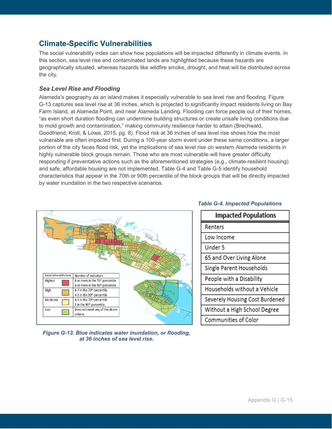## **Climate-Specific Vulnerabilities**

The social vulnerability index can show how populations will be impacted differently in climate events. In this section, sea level rise and contaminated lands are highlighted because these hazards are geographically situated, whereas hazards like wildfire smoke, drought, and heat will be distributed across the city.

## *Sea Level Rise and Flooding*

Alameda's geography as an island makes it especially vulnerable to sea level rise and flooding. Figure G-13 captures sea level rise at 36 inches, which is projected to significantly impact residents living on Bay Farm Island, at Alameda Point, and near Alameda Landing. Flooding can force people out of their homes, "as even short duration flooding can undermine building structures or create unsafe living conditions due to mold growth and contamination," making community resilience harder to attain (Brechwald, Goodfriend, Kroll, & Lowe, 2015, pg. 8). Flood risk at 36 inches of sea level rise shows how the most vulnerable are often impacted first. During a 100-year storm event under these same conditions, a larger portion of the city faces flood risk, yet the implications of sea level rise on western Alameda residents in highly vulnerable block groups remain. Those who are most vulnerable will have greater difficulty responding if preventative actions such as the aforementioned strategies (e.g., climate-resilient housing) and safe, affordable housing are not implemented. Table G-4 and Table G-5 identify household characteristics that appear in the 70th or 90th percentile of the block groups that will be directly impacted by water inundation in the two respective scenarios.



*Figure G-13. Blue indicates water inundation, or flooding, at 36 inches of sea level rise.*

# **Impacted Populations** Renters Low Income Under 5 65 and Over Living Alone Single Parent Households People with a Disability Households without a Vehicle Severely Housing Cost Burdened

Without a High School Degree Communities of Color

## *Table G-4. Impacted Populations*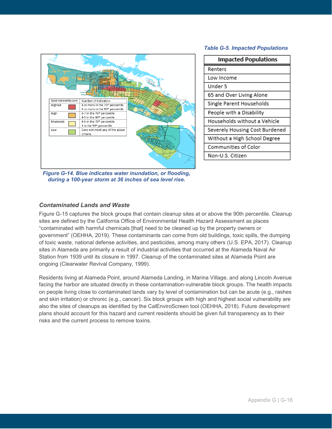#### *Table G-5. Impacted Populations*



| <b>Impacted Populations</b>    |
|--------------------------------|
| Renters                        |
| Low Income                     |
| Under 5                        |
| 65 and Over Living Alone       |
| Single Parent Households       |
| People with a Disability       |
| Households without a Vehicle   |
| Severely Housing Cost Burdened |
| Without a High School Degree   |
| Communities of Color           |
| Non-U.S. Citizen               |
|                                |

*Figure G-14. Blue indicates water inundation, or flooding, during a 100-year storm at 36 inches of sea level rise.*

### *Contaminated Lands and Waste*

Figure G-15 captures the block groups that contain cleanup sites at or above the 90th percentile. Cleanup sites are defined by the California Office of Environmental Health Hazard Assessment as places "contaminated with harmful chemicals [that] need to be cleaned up by the property owners or government" (OEHHA, 2019). These contaminants can come from old buildings, toxic spills, the dumping of toxic waste, national defense activities, and pesticides, among many others (U.S. EPA, 2017). Cleanup sites in Alameda are primarily a result of industrial activities that occurred at the Alameda Naval Air Station from 1939 until its closure in 1997. Cleanup of the contaminated sites at Alameda Point are ongoing (Clearwater Revival Company, 1999).

Residents living at Alameda Point, around Alameda Landing, in Marina Village, and along Lincoln Avenue facing the harbor are situated directly in these contamination-vulnerable block groups. The health impacts on people living close to contaminated lands vary by level of contamination but can be acute (e.g., rashes and skin irritation) or chronic (e.g., cancer). Six block groups with high and highest social vulnerability are also the sites of cleanups as identified by the CalEnviroScreen tool (OEHHA, 2018). Future development plans should account for this hazard and current residents should be given full transparency as to their risks and the current process to remove toxins.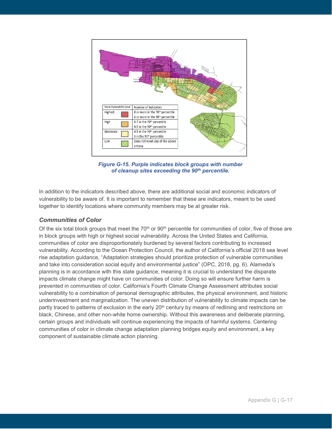

*Figure G-15. Purple indicates block groups with number of cleanup sites exceeding the 90th percentile.*

In addition to the indicators described above, there are additional social and economic indicators of vulnerability to be aware of. It is important to remember that these are indicators, meant to be used together to identify locations where community members may be at greater risk.

### *Communities of Color*

Of the six total block groups that meet the  $70<sup>th</sup>$  or  $90<sup>th</sup>$  percentile for communities of color, five of those are in block groups with high or highest social vulnerability. Across the United States and California, communities of color are disproportionately burdened by several factors contributing to increased vulnerability. According to the Ocean Protection Council, the author of California's official 2018 sea level rise adaptation guidance, "Adaptation strategies should prioritize protection of vulnerable communities and take into consideration social equity and environmental justice" (OPC, 2018, pg. 6). Alameda's planning is in accordance with this state guidance, meaning it is crucial to understand the disparate impacts climate change might have on communities of color. Doing so will ensure further harm is prevented in communities of color. California's Fourth Climate Change Assessment attributes social vulnerability to a combination of personal demographic attributes, the physical environment, and historic underinvestment and marginalization. The uneven distribution of vulnerability to climate impacts can be partly traced to patterns of exclusion in the early 20<sup>th</sup> century by means of redlining and restrictions on black, Chinese, and other non-white home ownership. Without this awareness and deliberate planning, certain groups and individuals will continue experiencing the impacts of harmful systems. Centering communities of color in climate change adaptation planning bridges equity and environment, a key component of sustainable climate action planning.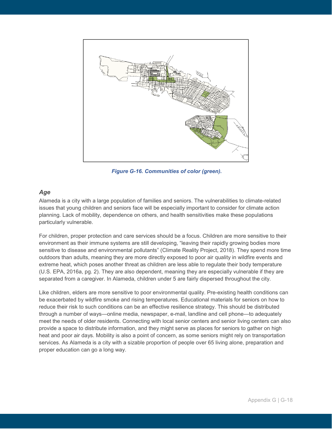

*Figure G-16. Communities of color (green).*

## *Age*

Alameda is a city with a large population of families and seniors. The vulnerabilities to climate-related issues that young children and seniors face will be especially important to consider for climate action planning. Lack of mobility, dependence on others, and health sensitivities make these populations particularly vulnerable.

For children, proper protection and care services should be a focus. Children are more sensitive to their environment as their immune systems are still developing, "leaving their rapidly growing bodies more sensitive to disease and environmental pollutants" (Climate Reality Project, 2018). They spend more time outdoors than adults, meaning they are more directly exposed to poor air quality in wildfire events and extreme heat, which poses another threat as children are less able to regulate their body temperature (U.S. EPA, 2016a, pg. 2). They are also dependent, meaning they are especially vulnerable if they are separated from a caregiver. In Alameda, children under 5 are fairly dispersed throughout the city.

Like children, elders are more sensitive to poor environmental quality. Pre-existing health conditions can be exacerbated by wildfire smoke and rising temperatures. Educational materials for seniors on how to reduce their risk to such conditions can be an effective resilience strategy. This should be distributed through a number of ways—online media, newspaper, e-mail, landline and cell phone—to adequately meet the needs of older residents. Connecting with local senior centers and senior living centers can also provide a space to distribute information, and they might serve as places for seniors to gather on high heat and poor air days. Mobility is also a point of concern, as some seniors might rely on transportation services. As Alameda is a city with a sizable proportion of people over 65 living alone, preparation and proper education can go a long way.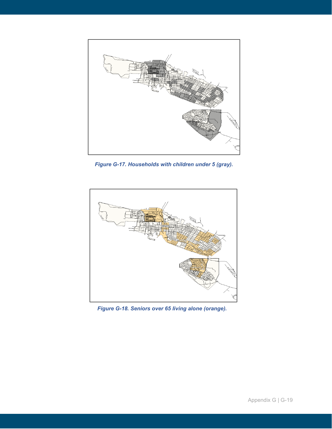

*Figure G-17. Households with children under 5 (gray).*



*Figure G-18. Seniors over 65 living alone (orange).*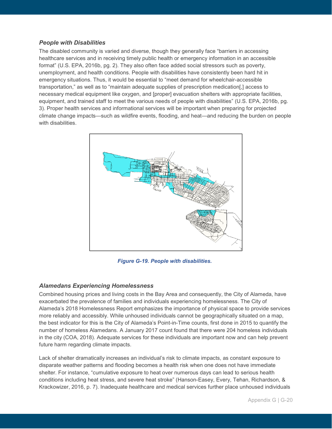## *People with Disabilities*

The disabled community is varied and diverse, though they generally face "barriers in accessing healthcare services and in receiving timely public health or emergency information in an accessible format" (U.S. EPA, 2016b, pg. 2). They also often face added social stressors such as poverty, unemployment, and health conditions. People with disabilities have consistently been hard hit in emergency situations. Thus, it would be essential to "meet demand for wheelchair-accessible transportation," as well as to "maintain adequate supplies of prescription medication[,] access to necessary medical equipment like oxygen, and [proper] evacuation shelters with appropriate facilities, equipment, and trained staff to meet the various needs of people with disabilities" (U.S. EPA, 2016b, pg. 3). Proper health services and informational services will be important when preparing for projected climate change impacts—such as wildfire events, flooding, and heat—and reducing the burden on people with disabilities.



*Figure G-19. People with disabilities.*

## *Alamedans Experiencing Homelessness*

Combined housing prices and living costs in the Bay Area and consequently, the City of Alameda, have exacerbated the prevalence of families and individuals experiencing homelessness. The City of Alameda's 2018 Homelessness Report emphasizes the importance of physical space to provide services more reliably and accessibly. While unhoused individuals cannot be geographically situated on a map, the best indicator for this is the City of Alameda's Point-in-Time counts, first done in 2015 to quantify the number of homeless Alamedans. A January 2017 count found that there were 204 homeless individuals in the city (COA, 2018). Adequate services for these individuals are important now and can help prevent future harm regarding climate impacts.

Lack of shelter dramatically increases an individual's risk to climate impacts, as constant exposure to disparate weather patterns and flooding becomes a health risk when one does not have immediate shelter. For instance, "cumulative exposure to heat over numerous days can lead to serious health conditions including heat stress, and severe heat stroke" (Hanson-Easey, Every, Tehan, Richardson, & Krackowizer, 2016, p. 7). Inadequate healthcare and medical services further place unhoused individuals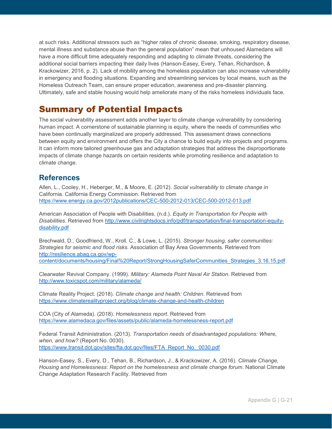at such risks. Additional stressors such as "higher rates of chronic disease, smoking, respiratory disease, mental illness and substance abuse than the general population" mean that unhoused Alamedans will have a more difficult time adequately responding and adapting to climate threats, considering the additional social barriers impacting their daily lives (Hanson-Easey, Every, Tehan, Richardson, & Krackowizer, 2016, p. 2). Lack of mobility among the homeless population can also increase vulnerability in emergency and flooding situations. Expanding and streamlining services by local means, such as the Homeless Outreach Team, can ensure proper education, awareness and pre-disaster planning. Ultimately, safe and stable housing would help ameliorate many of the risks homeless individuals face.

## Summary of Potential Impacts

The social vulnerability assessment adds another layer to climate change vulnerability by considering human impact. A cornerstone of sustainable planning is equity, where the needs of communities who have been continually marginalized are properly addressed. This assessment draws connections between equity and environment and offers the City a chance to build equity into projects and programs. It can inform more tailored greenhouse gas and adaptation strategies that address the disproportionate impacts of climate change hazards on certain residents while promoting resilience and adaptation to climate change.

## **References**

Allen, L., Cooley, H., Heberger, M., & Moore, E. (2012). *Social vulnerability to climate change in*  California. California Energy Commission. Retrieved from <https://www.energy.ca.gov/2012publications/CEC-500-2012-013/CEC-500-2012-013.pdf>

American Association of People with Disabilities. (n.d.). *Equity in Transportation for People with Disabilities*. Retrieved from [http://www.civilrightsdocs.info/pdf/transportation/final-transportation-equity](http://www.civilrightsdocs.info/pdf/transportation/final-transportation-equity-disability.pdf)[disability.pdf](http://www.civilrightsdocs.info/pdf/transportation/final-transportation-equity-disability.pdf)

Brechwald, D., Goodfriend, W., Kroll. C., & Lowe, L. (2015). *Stronger housing, safer communities: Strategies for seismic and flood risks.* Association of Bay Area Governments. Retrieved from [http://resilience.abag.ca.gov/wp](http://resilience.abag.ca.gov/wp-content/documents/housing/Final%20Report/StrongHousingSaferCommunities_Strategies_3.16.15.pdf)[content/documents/housing/Final%20Report/StrongHousingSaferCommunities\\_Strategies\\_3.16.15.pdf](http://resilience.abag.ca.gov/wp-content/documents/housing/Final%20Report/StrongHousingSaferCommunities_Strategies_3.16.15.pdf)

Clearwater Revival Company. (1999). *Military: Alameda Point Naval Air Station*. Retrieved from <http://www.toxicspot.com/military/alameda/>

Climate Reality Project. (2018). *Climate change and health: Children.* Retrieved from <https://www.climaterealityproject.org/blog/climate-change-and-health-children>

COA (City of Alameda). (2018). *Homelessness report*. Retrieved from <https://www.alamedaca.gov/files/assets/public/alameda-homelessness-report.pdf>

Federal Transit Administration. (2013). *Transportation needs of disadvantaged populations: Where, when, and how?* (Report No. 0030)*.* [https://www.transit.dot.gov/sites/fta.dot.gov/files/FTA\\_Report\\_No.\\_0030.pdf](https://www.transit.dot.gov/sites/fta.dot.gov/files/FTA_Report_No._0030.pdf)

Hanson-Easey, S., Every, D., Tehan, B., Richardson, J., & Krackowizer, A. (2016). *Climate Change, Housing and Homelessness: Report on the homelessness and climate change forum*. National Climate Change Adaptation Research Facility. Retrieved from